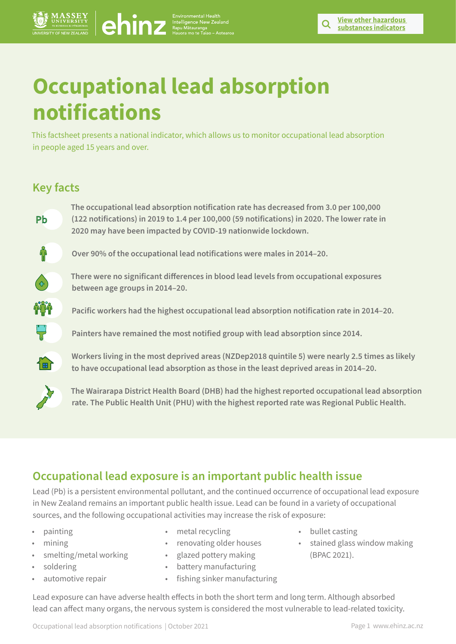# **Occupational lead absorption notifications CCUDATION COCCUPATION**<br> **COCUPATIONS**<br> **COCUPATIONS**<br> **COCUPATIONS**<br> **COCUPATIONS**<br> **COCUPATIONS**<br> **COCUPATIONS**<br> **COCUPATIONS**<br> **PD**<br> **COCUPATIONS**<br> **PD**<br> **COCUPATIONS**<br> **PD**<br> **COCUPATIONS**<br> **PD**<br> **COCUPATIONS**<br> **PD**<br>

This factsheet presents a national indicator, which allows us to monitor occupational lead absorption in people aged 15 years and over.

# **Key facts**

**The occupational lead absorption notification rate has decreased from 3.0 per 100,000 (122 notifications) in 2019 to 1.4 per 100,000 (59 notifications) in 2020. The lower rate in 2020 may have been impacted by COVID-19 nationwide lockdown.** 



**Over 90% of the occupational lead notifications were males in 2014–20.** 



**There were no significant differences in blood lead levels from occupational exposures between age groups in 2014–20.** 

**Pacific workers had the highest occupational lead absorption notification rate in 2014–20.**

**Painters have remained the most notified group with lead absorption since 2014.** 



**Workers living in the most deprived areas (NZDep2018 quintile 5) were nearly 2.5 times as likely to have occupational lead absorption as those in the least deprived areas in 2014–20.**



**The Wairarapa District Health Board (DHB) had the highest reported occupational lead absorption rate. The Public Health Unit (PHU) with the highest reported rate was Regional Public Health.** 

# **Occupational lead exposure is an important public health issue**

Lead (Pb) is a persistent environmental pollutant, and the continued occurrence of occupational lead exposure in New Zealand remains an important public health issue. Lead can be found in a variety of occupational sources, and the following occupational activities may increase the risk of exposure:

- painting
- mining
- smelting/metal working
- soldering
- automotive repair
- metal recycling
- renovating older houses
- glazed pottery making
- battery manufacturing
- fishing sinker manufacturing
- bullet casting
- stained glass window making (BPAC 2021).

Lead exposure can have adverse health effects in both the short term and long term. Although absorbed lead can affect many organs, the nervous system is considered the most vulnerable to lead-related toxicity.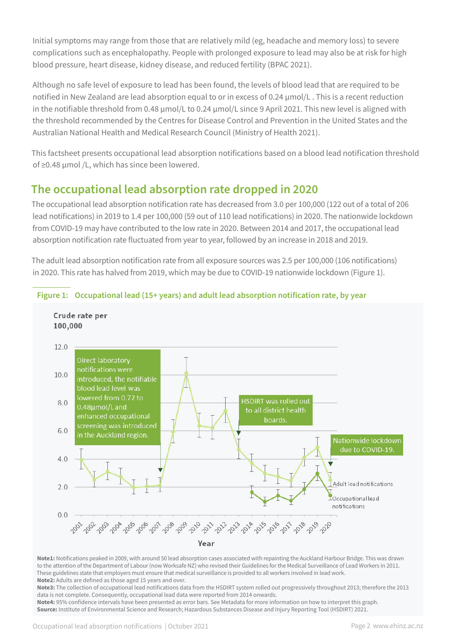Initial symptoms may range from those that are relatively mild (eg, headache and memory loss) to severe complications such as encephalopathy. People with prolonged exposure to lead may also be at risk for high blood pressure, heart disease, kidney disease, and reduced fertility (BPAC 2021).

Although no safe level of exposure to lead has been found, the levels of blood lead that are required to be notified in New Zealand are lead absorption equal to or in excess of 0.24 µmol/L . This is a recent reduction in the notifiable threshold from 0.48 µmol/L to 0.24 µmol/L since 9 April 2021. This new level is aligned with the threshold recommended by the Centres for Disease Control and Prevention in the United States and the Australian National Health and Medical Research Council (Ministry of Health 2021).

This factsheet presents occupational lead absorption notifications based on a blood lead notification threshold of ≥0.48 µmol /L, which has since been lowered.

# **The occupational lead absorption rate dropped in 2020**

The occupational lead absorption notification rate has decreased from 3.0 per 100,000 (122 out of a total of 206 lead notifications) in 2019 to 1.4 per 100,000 (59 out of 110 lead notifications) in 2020. The nationwide lockdown from COVID-19 may have contributed to the low rate in 2020. Between 2014 and 2017, the occupational lead absorption notification rate fluctuated from year to year, followed by an increase in 2018 and 2019.

The adult lead absorption notification rate from all exposure sources was 2.5 per 100,000 (106 notifications) in 2020. This rate has halved from 2019, which may be due to COVID-19 nationwide lockdown (Figure 1).



## **Figure 1: Occupational lead (15+ years) and adult lead absorption notification rate, by year**

**Note1:** Notifications peaked in 2009, with around 50 lead absorption cases associated with repainting the Auckland Harbour Bridge. This was drawn to the attention of the Department of Labour (now Worksafe NZ) who revised their Guidelines for the Medical Surveillance of Lead Workers in 2011. These guidelines state that employers must ensure that medical surveillance is provided to all workers involved in lead work. **Note2:** Adults are defined as those aged 15 years and over.

**Note3:** The collection of occupational lead notifications data from the HSDIRT system rolled out progressively throughout 2013; therefore the 2013 data is not complete. Consequently, occupational lead data were reported from 2014 onwards.

**Note4:** 95% confidence intervals have been presented as error bars. See Metadata for more information on how to interpret this graph. **Source:** Institute of Environmental Science and Research; Hazardous Substances Disease and Injury Reporting Tool (HSDIRT) 2021.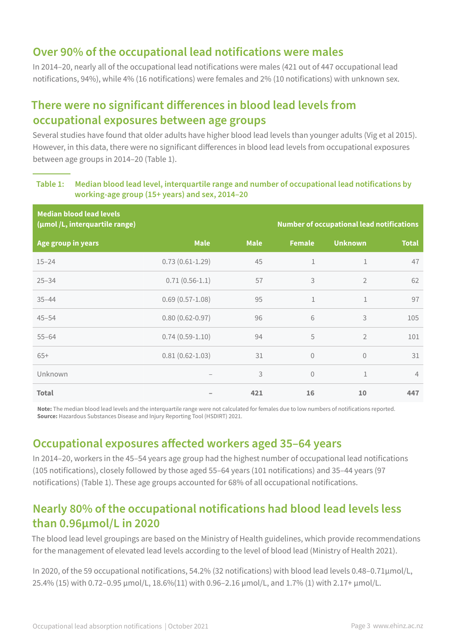## **Over 90% of the occupational lead notifications were males**

In 2014–20, nearly all of the occupational lead notifications were males (421 out of 447 occupational lead notifications, 94%), while 4% (16 notifications) were females and 2% (10 notifications) with unknown sex.

## **There were no significant differences in blood lead levels from occupational exposures between age groups**

Several studies have found that older adults have higher blood lead levels than younger adults (Vig et al 2015). However, in this data, there were no significant differences in blood lead levels from occupational exposures between age groups in 2014–20 (Table 1).

## **Table 1: Median blood lead level, interquartile range and number of occupational lead notifications by working-age group (15+ years) and sex, 2014–20**

| <b>Median blood lead levels</b><br>(µmol /L, interquartile range) | <b>Number of occupational lead notifications</b> |             |                |                |                |
|-------------------------------------------------------------------|--------------------------------------------------|-------------|----------------|----------------|----------------|
| Age group in years                                                | <b>Male</b>                                      | <b>Male</b> | <b>Female</b>  | <b>Unknown</b> | <b>Total</b>   |
| $15 - 24$                                                         | $0.73(0.61 - 1.29)$                              | 45          | $\mathbf{1}$   | $\mathbf{1}$   | 47             |
| $25 - 34$                                                         | $0.71(0.56-1.1)$                                 | 57          | 3              | $\overline{2}$ | 62             |
| $35 - 44$                                                         | $0.69(0.57-1.08)$                                | 95          | $\mathbf{1}$   | $\mathbf{1}$   | 97             |
| $45 - 54$                                                         | $0.80(0.62 - 0.97)$                              | 96          | 6              | 3              | 105            |
| $55 - 64$                                                         | $0.74(0.59-1.10)$                                | 94          | 5              | $\overline{2}$ | 101            |
| $65+$                                                             | $0.81(0.62 - 1.03)$                              | 31          | $\theta$       | $\sqrt{0}$     | 31             |
| Unknown                                                           |                                                  | 3           | $\overline{0}$ | $\mathbf{1}$   | $\overline{4}$ |
| <b>Total</b>                                                      |                                                  | 421         | 16             | 10             | 447            |

**Note:** The median blood lead levels and the interquartile range were not calculated for females due to low numbers of notifications reported. **Source:** Hazardous Substances Disease and Injury Reporting Tool (HSDIRT) 2021.

## **Occupational exposures affected workers aged 35–64 years**

In 2014–20, workers in the 45–54 years age group had the highest number of occupational lead notifications (105 notifications), closely followed by those aged 55–64 years (101 notifications) and 35–44 years (97 notifications) (Table 1). These age groups accounted for 68% of all occupational notifications.

## **Nearly 80% of the occupational notifications had blood lead levels less than 0.96µmol/L in 2020**

The blood lead level groupings are based on the Ministry of Health guidelines, which provide recommendations for the management of elevated lead levels according to the level of blood lead (Ministry of Health 2021).

In 2020, of the 59 occupational notifications, 54.2% (32 notifications) with blood lead levels 0.48–0.71µmol/L, 25.4% (15) with 0.72–0.95 µmol/L, 18.6%(11) with 0.96–2.16 µmol/L, and 1.7% (1) with 2.17+ µmol/L.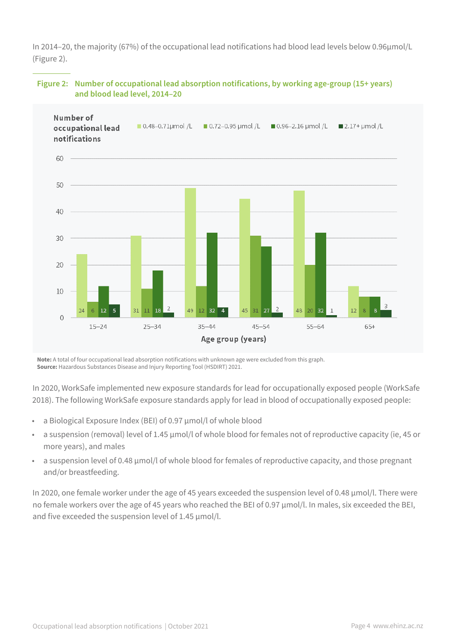In 2014–20, the majority (67%) of the occupational lead notifications had blood lead levels below 0.96µmol/L (Figure 2).



## **Figure 2: Number of occupational lead absorption notifications, by working age-group (15+ years) and blood lead level, 2014–20**

**Note:** A total of four occupational lead absorption notifications with unknown age were excluded from this graph. **Source:** Hazardous Substances Disease and Injury Reporting Tool (HSDIRT) 2021.

In 2020, WorkSafe implemented new exposure standards for lead for occupationally exposed people (WorkSafe 2018). The following WorkSafe exposure standards apply for lead in blood of occupationally exposed people:

- a Biological Exposure Index (BEI) of 0.97 µmol/l of whole blood
- a suspension (removal) level of 1.45 µmol/l of whole blood for females not of reproductive capacity (ie, 45 or more years), and males
- a suspension level of 0.48 µmol/l of whole blood for females of reproductive capacity, and those pregnant and/or breastfeeding.

In 2020, one female worker under the age of 45 years exceeded the suspension level of 0.48 µmol/l. There were no female workers over the age of 45 years who reached the BEI of 0.97 µmol/l. In males, six exceeded the BEI, and five exceeded the suspension level of 1.45  $\mu$ mol/l.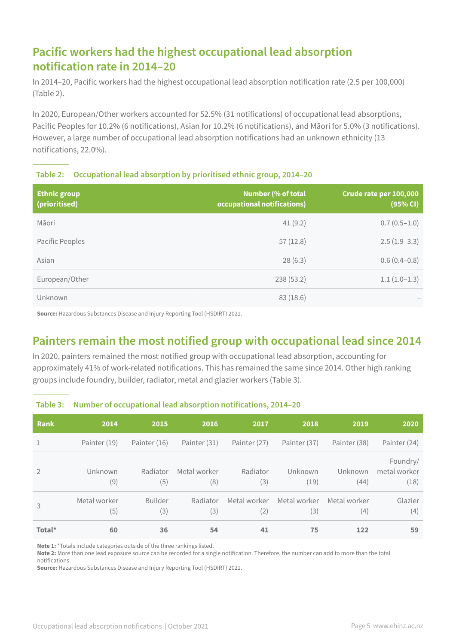# **Pacific workers had the highest occupational lead absorption notification rate in 2014–20**

In 2014–20, Pacific workers had the highest occupational lead absorption notification rate (2.5 per 100,000) (Table 2).

In 2020, European/Other workers accounted for 52.5% (31 notifications) of occupational lead absorptions, Pacific Peoples for 10.2% (6 notifications), Asian for 10.2% (6 notifications), and Māori for 5.0% (3 notifications). However, a large number of occupational lead absorption notifications had an unknown ethnicity (13 notifications, 22.0%).

## **Table 2: Occupational lead absorption by prioritised ethnic group, 2014–20**

| <b>Ethnic group</b><br>(prioritised) | <b>Number (% of total</b><br>occupational notifications) | Crude rate per 100,000<br>(95% CI) |
|--------------------------------------|----------------------------------------------------------|------------------------------------|
| Māori                                | 41(9.2)                                                  | $0.7(0.5-1.0)$                     |
| Pacific Peoples                      | 57(12.8)                                                 | $2.5(1.9-3.3)$                     |
| Asian                                | 28(6.3)                                                  | $0.6(0.4-0.8)$                     |
| European/Other                       | 238 (53.2)                                               | $1.1(1.0-1.3)$                     |
| Unknown                              | 83(18.6)                                                 |                                    |

**Source:** Hazardous Substances Disease and Injury Reporting Tool (HSDIRT) 2021.

## **Painters remain the most notified group with occupational lead since 2014**

In 2020, painters remained the most notified group with occupational lead absorption, accounting for approximately 41% of work-related notifications. This has remained the same since 2014. Other high ranking groups include foundry, builder, radiator, metal and glazier workers (Table 3).

| <b>Rank</b>    | 2014                | 2015                  | 2016                | 2017                | 2018                | 2019                | 2020                             |
|----------------|---------------------|-----------------------|---------------------|---------------------|---------------------|---------------------|----------------------------------|
|                | Painter (19)        | Painter (16)          | Painter (31)        | Painter (27)        | Painter (37)        | Painter (38)        | Painter (24)                     |
| $\mathfrak{D}$ | Unknown<br>(9)      | Radiator<br>(5)       | Metal worker<br>(8) | Radiator<br>(3)     | Unknown<br>(19)     | Unknown<br>(44)     | Foundry/<br>metal worker<br>(18) |
| 3              | Metal worker<br>(5) | <b>Builder</b><br>(3) | Radiator<br>(3)     | Metal worker<br>(2) | Metal worker<br>(3) | Metal worker<br>(4) | Glazier<br>(4)                   |
| Total*         | 60                  | 36                    | 54                  | 41                  | 75                  | 122                 | 59                               |

#### **Table 3: Number of occupational lead absorption notifications, 2014–20**

**Note 1:** \*Totals include categories outside of the three rankings listed.

**Note 2:** More than one lead exposure source can be recorded for a single notification. Therefore, the number can add to more than the total notifications.

**Source:** Hazardous Substances Disease and Injury Reporting Tool (HSDIRT) 2021.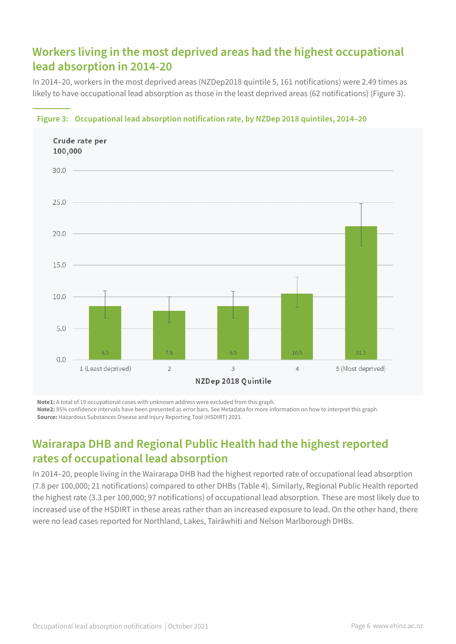# **Workers living in the most deprived areas had the highest occupational lead absorption in 2014-20**

In 2014–20, workers in the most deprived areas (NZDep2018 quintile 5, 161 notifications) were 2.49 times as likely to have occupational lead absorption as those in the least deprived areas (62 notifications) (Figure 3).



#### **Figure 3: Occupational lead absorption notification rate, by NZDep 2018 quintiles, 2014–20**

**Note1:** A total of 19 occupational cases with unknown address were excluded from this graph. **Note2:** 95% confidence intervals have been presented as error bars. See Metadata for more information on how to interpret this graph. **Source:** Hazardous Substances Disease and Injury Reporting Tool (HSDIRT) 2021.

## **Wairarapa DHB and Regional Public Health had the highest reported rates of occupational lead absorption**

In 2014–20, people living in the Wairarapa DHB had the highest reported rate of occupational lead absorption (7.8 per 100,000; 21 notifications) compared to other DHBs (Table 4). Similarly, Regional Public Health reported the highest rate (3.3 per 100,000; 97 notifications) of occupational lead absorption. These are most likely due to increased use of the HSDIRT in these areas rather than an increased exposure to lead. On the other hand, there were no lead cases reported for Northland, Lakes, Tairāwhiti and Nelson Marlborough DHBs.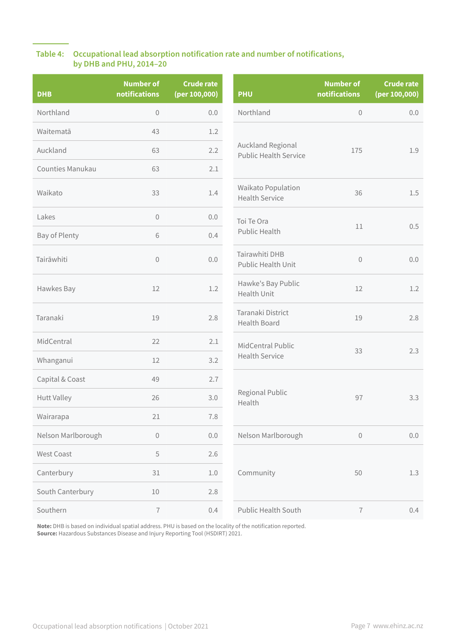## **Table 4: Occupational lead absorption notification rate and number of notifications, by DHB and PHU, 2014–20**

| <b>DHB</b>         | <b>Number of</b><br>notifications | <b>Crude rate</b><br>(per 100,000) | <b>PHU</b>                                        | <b>Number of</b><br>notifications | <b>Crude rate</b><br>(per 100,000) |
|--------------------|-----------------------------------|------------------------------------|---------------------------------------------------|-----------------------------------|------------------------------------|
| Northland          | $\mathbf 0$                       | 0.0                                | Northland                                         | $\mathbf 0$                       | 0.0                                |
| Waitematā          | 43                                | 1.2                                |                                                   | 175                               | 1.9                                |
| Auckland           | 63                                | 2.2                                | Auckland Regional<br><b>Public Health Service</b> |                                   |                                    |
| Counties Manukau   | 63                                | 2.1                                |                                                   |                                   |                                    |
| Waikato            | 33                                | 1.4                                | Waikato Population<br><b>Health Service</b>       | 36                                | 1.5                                |
| Lakes              | $\mathbf 0$                       | 0.0                                | Toi Te Ora                                        | 11                                | 0.5                                |
| Bay of Plenty      | 6                                 | 0.4                                | Public Health                                     |                                   |                                    |
| Tairāwhiti         | $\mathbf 0$                       | 0.0                                | Tairawhiti DHB<br>Public Health Unit              | $\mathbf 0$                       | 0.0                                |
| Hawkes Bay         | 12                                | 1.2                                | Hawke's Bay Public<br>Health Unit                 | 12                                | 1.2                                |
| Taranaki           | 19                                | 2.8                                | Taranaki District<br>Health Board                 | 19                                | 2.8                                |
| MidCentral         | 22                                | 2.1                                | MidCentral Public                                 | 33                                | 2.3                                |
| Whanganui          | 12                                | 3.2                                | <b>Health Service</b>                             |                                   |                                    |
| Capital & Coast    | 49                                | 2.7                                |                                                   | 97                                | 3.3                                |
| Hutt Valley        | 26                                | 3.0                                | Regional Public<br>Health                         |                                   |                                    |
| Wairarapa          | 21                                | 7.8                                |                                                   |                                   |                                    |
| Nelson Marlborough | $\mathbb O$                       | $0.0\,$                            | Nelson Marlborough                                | $\mathbf 0$                       | $0.0\,$                            |
| West Coast         | 5                                 | 2.6                                |                                                   |                                   |                                    |
| Canterbury         | 31                                | $1.0\,$                            | Community                                         | 50                                | $1.3\,$                            |
| South Canterbury   | $10\,$                            | 2.8                                |                                                   |                                   |                                    |
| Southern           | $\overline{I}$                    | 0.4                                | <b>Public Health South</b>                        | $\overline{1}$                    | 0.4                                |

**Note:** DHB is based on individual spatial address. PHU is based on the locality of the notification reported. **Source:** Hazardous Substances Disease and Injury Reporting Tool (HSDIRT) 2021.